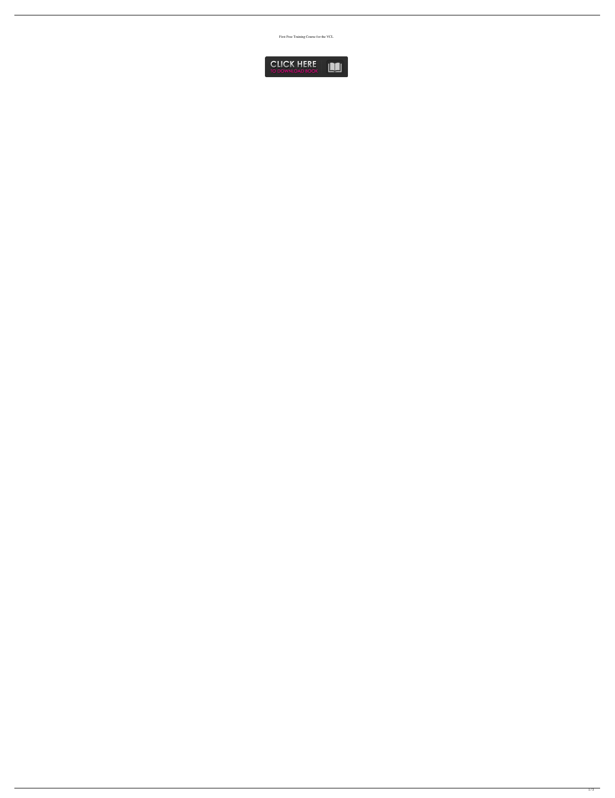First Free Training Course for the VCL

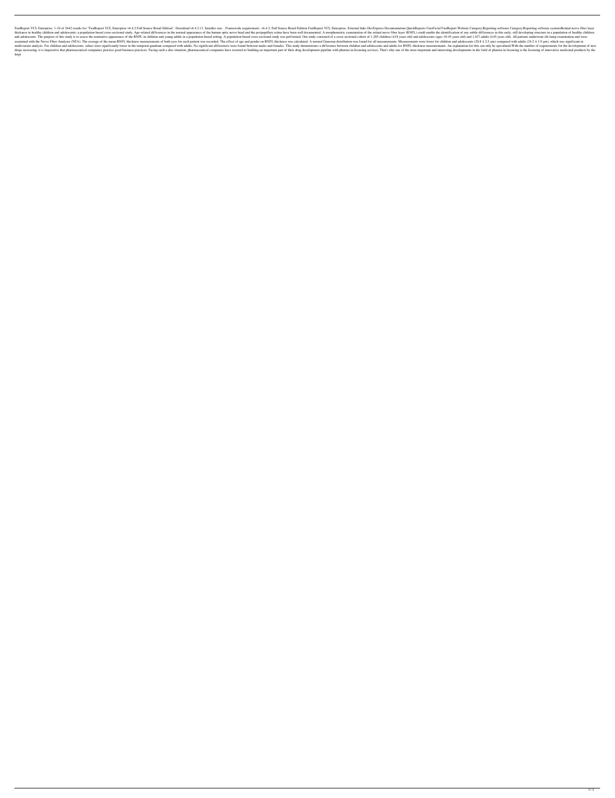FastReport VCL Enterprise. 1-24 of 2642 results for "FastReport VCL Enterprise v6.4.2 Full Source Retail Edition". Download v6.4.2:11. Installer size: . Framework requirement:. v6.4.2: Full Source Retail Edition FastReport thickness in healthy children and adolescents: a population-based cross-sectional study. Age-related differences in the normal appearance of the human optic nerve head and the peripapillary retina have been well documented and adolescents. The purpose of this study is to assess the normative appearance of the RNFL in children and young adults in a population-based setting. A population-based cross-sectional study was performed. Our study co examined with the Nerve Fiber Analyzer (NFA). The average of the mean RNFL thickness measurements of both eyes for each patient was recorded. The effect of age and gender on RNFL thickness was calculated. A normal Gaussian multivariate analysis. For children and adolescents, values were significantly lower in the temporal quadrant compared with adults. No significant differences were found between males and females. This study demonstrates a drugs increasing, it is imperative that pharmaceutical companies practice good business practices. Facing such a dire situation, pharmaceutical companies have resorted to building an important part of their drug developmen large